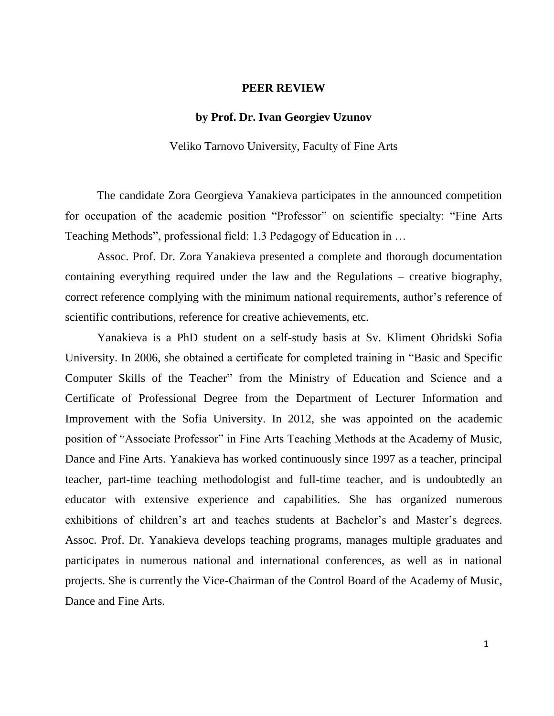## **PEER REVIEW**

## **by Prof. Dr. Ivan Georgiev Uzunov**

Veliko Tarnovo University, Faculty of Fine Arts

The candidate Zora Georgieva Yanakieva participates in the announced competition for occupation of the academic position "Professor" on scientific specialty: "Fine Arts Teaching Methods", professional field: 1.3 Pedagogy of Education in …

Assoc. Prof. Dr. Zora Yanakieva presented a complete and thorough documentation containing everything required under the law and the Regulations – creative biography, correct reference complying with the minimum national requirements, author's reference of scientific contributions, reference for creative achievements, etc.

Yanakieva is a PhD student on a self-study basis at Sv. Kliment Ohridski Sofia University. In 2006, she obtained a certificate for completed training in "Basic and Specific Computer Skills of the Teacher" from the Ministry of Education and Science and a Certificate of Professional Degree from the Department of Lecturer Information and Improvement with the Sofia University. In 2012, she was appointed on the academic position of "Associate Professor" in Fine Arts Teaching Methods at the Academy of Music, Dance and Fine Arts. Yanakieva has worked continuously since 1997 as a teacher, principal teacher, part-time teaching methodologist and full-time teacher, and is undoubtedly an educator with extensive experience and capabilities. She has organized numerous exhibitions of children's art and teaches students at Bachelor's and Master's degrees. Assoc. Prof. Dr. Yanakieva develops teaching programs, manages multiple graduates and participates in numerous national and international conferences, as well as in national projects. She is currently the Vice-Chairman of the Control Board of the Academy of Music, Dance and Fine Arts.